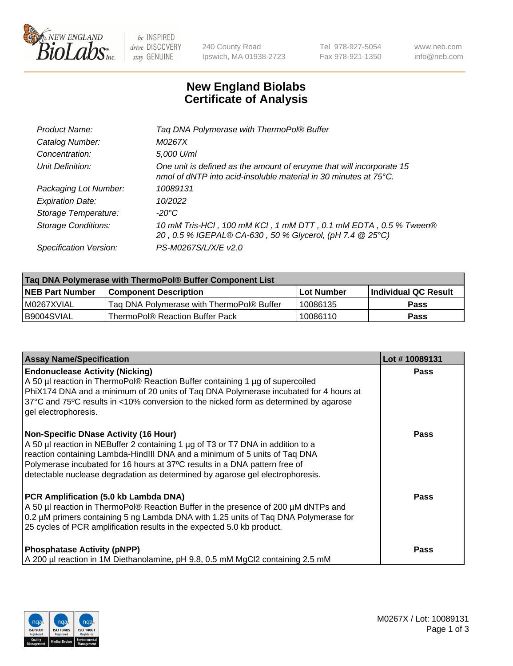

 $be$  INSPIRED drive DISCOVERY stay GENUINE

240 County Road Ipswich, MA 01938-2723 Tel 978-927-5054 Fax 978-921-1350 www.neb.com info@neb.com

## **New England Biolabs Certificate of Analysis**

| Tag DNA Polymerase with ThermoPol® Buffer                                                                                                |
|------------------------------------------------------------------------------------------------------------------------------------------|
| M0267X                                                                                                                                   |
| 5,000 U/ml                                                                                                                               |
| One unit is defined as the amount of enzyme that will incorporate 15<br>nmol of dNTP into acid-insoluble material in 30 minutes at 75°C. |
| 10089131                                                                                                                                 |
| 10/2022                                                                                                                                  |
| $-20^{\circ}$ C                                                                                                                          |
| 10 mM Tris-HCI, 100 mM KCI, 1 mM DTT, 0.1 mM EDTA, 0.5 % Tween®<br>20, 0.5 % IGEPAL® CA-630, 50 % Glycerol, (pH 7.4 @ 25°C)              |
| PS-M0267S/L/X/E v2.0                                                                                                                     |
|                                                                                                                                          |

| ∣Taq DNA Polymerase with ThermoPol® Buffer Component List |                                           |                   |                      |  |  |
|-----------------------------------------------------------|-------------------------------------------|-------------------|----------------------|--|--|
| <b>NEB Part Number</b>                                    | <b>Component Description</b>              | <b>Lot Number</b> | Individual QC Result |  |  |
| I M0267XVIAL                                              | Tag DNA Polymerase with ThermoPol® Buffer | 10086135          | Pass                 |  |  |
| B9004SVIAL                                                | ThermoPol® Reaction Buffer Pack           | 10086110          | Pass                 |  |  |

| <b>Assay Name/Specification</b>                                                                                                                                                                                                                                                                                                                                              | Lot #10089131 |
|------------------------------------------------------------------------------------------------------------------------------------------------------------------------------------------------------------------------------------------------------------------------------------------------------------------------------------------------------------------------------|---------------|
| <b>Endonuclease Activity (Nicking)</b><br>A 50 µl reaction in ThermoPol® Reaction Buffer containing 1 µg of supercoiled<br>PhiX174 DNA and a minimum of 20 units of Taq DNA Polymerase incubated for 4 hours at<br>37°C and 75°C results in <10% conversion to the nicked form as determined by agarose<br>gel electrophoresis.                                              | <b>Pass</b>   |
| <b>Non-Specific DNase Activity (16 Hour)</b><br>A 50 µl reaction in NEBuffer 2 containing 1 µg of T3 or T7 DNA in addition to a<br>reaction containing Lambda-HindIII DNA and a minimum of 5 units of Taq DNA<br>Polymerase incubated for 16 hours at 37°C results in a DNA pattern free of<br>detectable nuclease degradation as determined by agarose gel electrophoresis. | Pass          |
| PCR Amplification (5.0 kb Lambda DNA)<br>A 50 µl reaction in ThermoPol® Reaction Buffer in the presence of 200 µM dNTPs and<br>0.2 µM primers containing 5 ng Lambda DNA with 1.25 units of Taq DNA Polymerase for<br>25 cycles of PCR amplification results in the expected 5.0 kb product.                                                                                 | Pass          |
| <b>Phosphatase Activity (pNPP)</b><br>A 200 µl reaction in 1M Diethanolamine, pH 9.8, 0.5 mM MgCl2 containing 2.5 mM                                                                                                                                                                                                                                                         | <b>Pass</b>   |

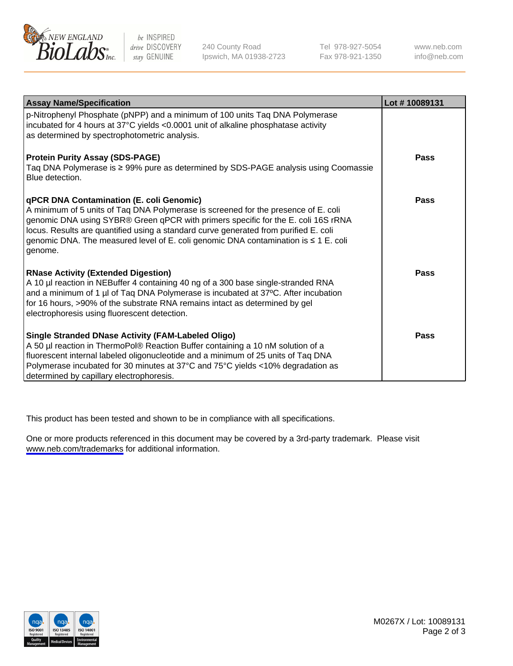

be INSPIRED drive DISCOVERY stay GENUINE

240 County Road Ipswich, MA 01938-2723 Tel 978-927-5054 Fax 978-921-1350

www.neb.com info@neb.com

| <b>Assay Name/Specification</b>                                                                                                                                                                                                                                                                                                                                                                                      | Lot #10089131 |
|----------------------------------------------------------------------------------------------------------------------------------------------------------------------------------------------------------------------------------------------------------------------------------------------------------------------------------------------------------------------------------------------------------------------|---------------|
| p-Nitrophenyl Phosphate (pNPP) and a minimum of 100 units Taq DNA Polymerase<br>incubated for 4 hours at 37°C yields <0.0001 unit of alkaline phosphatase activity<br>as determined by spectrophotometric analysis.                                                                                                                                                                                                  |               |
| <b>Protein Purity Assay (SDS-PAGE)</b><br>Taq DNA Polymerase is $\geq 99\%$ pure as determined by SDS-PAGE analysis using Coomassie<br>Blue detection.                                                                                                                                                                                                                                                               | Pass          |
| <b>qPCR DNA Contamination (E. coli Genomic)</b><br>A minimum of 5 units of Taq DNA Polymerase is screened for the presence of E. coli<br>genomic DNA using SYBR® Green qPCR with primers specific for the E. coli 16S rRNA<br>locus. Results are quantified using a standard curve generated from purified E. coli<br>genomic DNA. The measured level of E. coli genomic DNA contamination is ≤ 1 E. coli<br>genome. | Pass          |
| <b>RNase Activity (Extended Digestion)</b><br>A 10 µl reaction in NEBuffer 4 containing 40 ng of a 300 base single-stranded RNA<br>and a minimum of 1 µl of Taq DNA Polymerase is incubated at 37°C. After incubation<br>for 16 hours, >90% of the substrate RNA remains intact as determined by gel<br>electrophoresis using fluorescent detection.                                                                 | <b>Pass</b>   |
| Single Stranded DNase Activity (FAM-Labeled Oligo)<br>A 50 µl reaction in ThermoPol® Reaction Buffer containing a 10 nM solution of a<br>fluorescent internal labeled oligonucleotide and a minimum of 25 units of Taq DNA<br>Polymerase incubated for 30 minutes at 37°C and 75°C yields <10% degradation as<br>determined by capillary electrophoresis.                                                            | Pass          |

This product has been tested and shown to be in compliance with all specifications.

One or more products referenced in this document may be covered by a 3rd-party trademark. Please visit <www.neb.com/trademarks>for additional information.